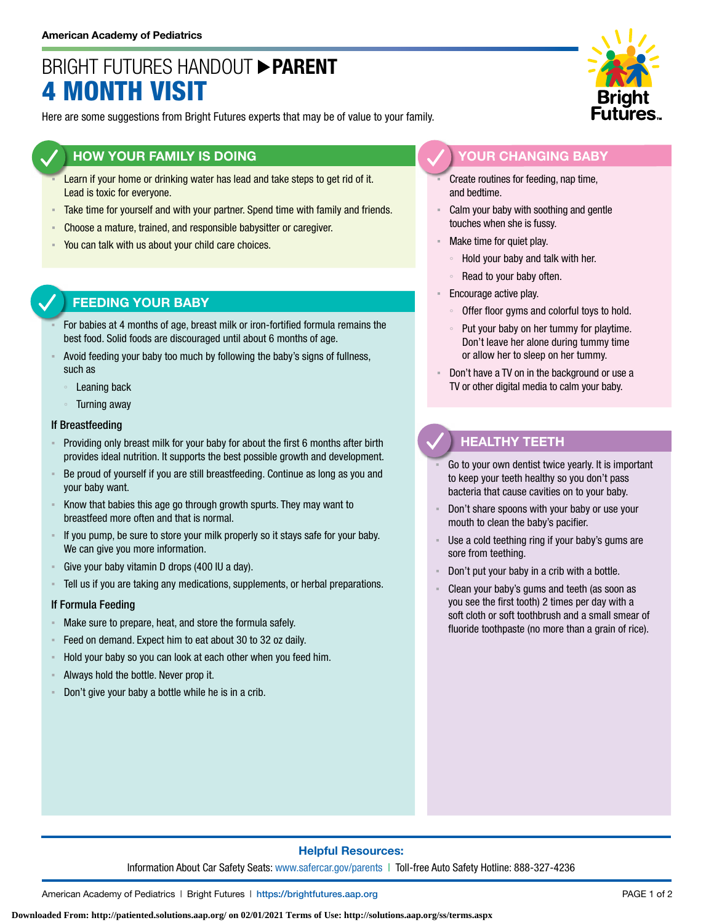# BRIGHT FUTURES HANDOUT **PARENT** 4 MONTH VISIT

Here are some suggestions from Bright Futures experts that may be of value to your family.

## **HOW YOUR FAMILY IS DOING**

- Learn if your home or drinking water has lead and take steps to get rid of it. Lead is toxic for everyone.
- **EXEL Take time for yourself and with your partner. Spend time with family and friends.**
- Choose a mature, trained, and responsible babysitter or caregiver.
- You can talk with us about your child care choices.

# **FEEDING YOUR BABY**

- For babies at 4 months of age, breast milk or iron-fortified formula remains the best food. Solid foods are discouraged until about 6 months of age.
- Avoid feeding your baby too much by following the baby's signs of fullness, such as
	- Leaning back
	- Turning away

#### If Breastfeeding

- Providing only breast milk for your baby for about the first 6 months after birth provides ideal nutrition. It supports the best possible growth and development.
- Be proud of yourself if you are still breastfeeding. Continue as long as you and your baby want.
- Know that babies this age go through growth spurts. They may want to breastfeed more often and that is normal.
- If you pump, be sure to store your milk properly so it stays safe for your baby. We can give you more information.
- Give your baby vitamin D drops (400 IU a day).
- Tell us if you are taking any medications, supplements, or herbal preparations.

### If Formula Feeding

- Make sure to prepare, heat, and store the formula safely.
- Feed on demand. Expect him to eat about 30 to 32 oz daily.
- Hold your baby so you can look at each other when you feed him.
- Always hold the bottle. Never prop it.
- Don't give your baby a bottle while he is in a crib.



## **YOUR CHANGING BABY**

Create routines for feeding, nap time, and bedtime.

- Calm your baby with soothing and gentle touches when she is fussy.
- Make time for quiet play.
	- Hold your baby and talk with her.
	- Read to your baby often.
- **Encourage active play.** 
	- Offer floor gyms and colorful toys to hold.
	- Put your baby on her tummy for playtime. Don't leave her alone during tummy time or allow her to sleep on her tummy.
- Don't have a TV on in the background or use a TV or other digital media to calm your baby.

# **HEALTHY TEETH**

- Go to your own dentist twice yearly. It is important to keep your teeth healthy so you don't pass bacteria that cause cavities on to your baby.
- Don't share spoons with your baby or use your mouth to clean the baby's pacifier.
- Use a cold teething ring if your baby's gums are sore from teething.
- Don't put your baby in a crib with a bottle.
- Clean your baby's gums and teeth (as soon as you see the first tooth) 2 times per day with a soft cloth or soft toothbrush and a small smear of fluoride toothpaste (no more than a grain of rice).

## **Helpful Resources:**

Information About Car Safety Seats: [www.safercar.gov/parents](https://www.nhtsa.gov/parents-and-caregivers) | Toll-free Auto Safety Hotline: 888-327-4236

American Academy of Pediatrics | Bright Futures | https:/[/brightfutures.aap.org](https://brightfutures.aap.org/Pages/default.aspx) PAGE 1 of 2